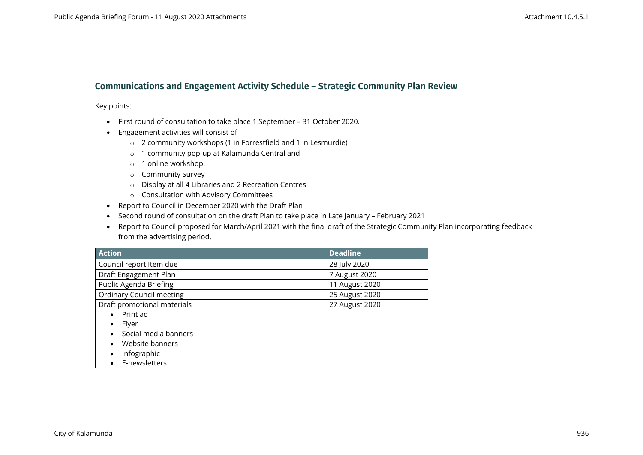## **Communications and Engagement Activity Schedule – Strategic Community Plan Review**

Key points:

- First round of consultation to take place 1 September 31 October 2020.
- Engagement activities will consist of
	- o 2 community workshops (1 in Forrestfield and 1 in Lesmurdie)
	- o 1 community pop-up at Kalamunda Central and
	- o 1 online workshop.
	- o Community Survey
	- o Display at all 4 Libraries and 2 Recreation Centres
	- o Consultation with Advisory Committees
- Report to Council in December 2020 with the Draft Plan
- Second round of consultation on the draft Plan to take place in Late January February 2021
- Report to Council proposed for March/April 2021 with the final draft of the Strategic Community Plan incorporating feedback from the advertising period.

| <b>Action</b>                   | <b>Deadline</b> |
|---------------------------------|-----------------|
| Council report Item due         | 28 July 2020    |
| Draft Engagement Plan           | 7 August 2020   |
| Public Agenda Briefing          | 11 August 2020  |
| <b>Ordinary Council meeting</b> | 25 August 2020  |
| Draft promotional materials     | 27 August 2020  |
| Print ad                        |                 |
| Flyer                           |                 |
| Social media banners            |                 |
| Website banners                 |                 |
| Infographic                     |                 |
| E-newsletters                   |                 |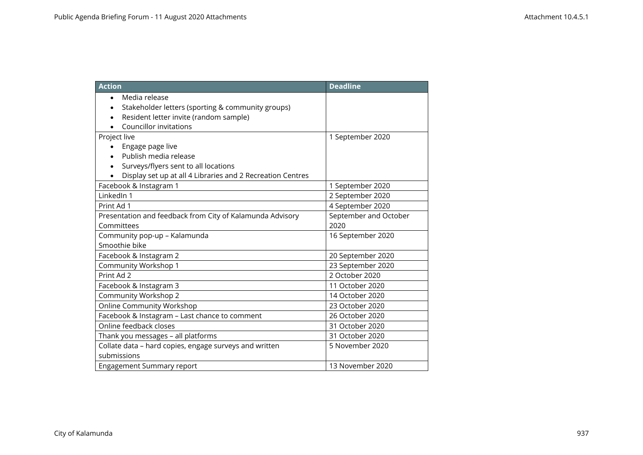| <b>Action</b>                                                           | <b>Deadline</b>       |
|-------------------------------------------------------------------------|-----------------------|
| Media release<br>Stakeholder letters (sporting & community groups)      |                       |
| Resident letter invite (random sample)<br><b>Councillor invitations</b> |                       |
| Project live                                                            | 1 September 2020      |
| Engage page live                                                        |                       |
| Publish media release                                                   |                       |
| Surveys/flyers sent to all locations                                    |                       |
| Display set up at all 4 Libraries and 2 Recreation Centres              |                       |
| Facebook & Instagram 1                                                  | 1 September 2020      |
| LinkedIn 1                                                              | 2 September 2020      |
| Print Ad 1                                                              | 4 September 2020      |
| Presentation and feedback from City of Kalamunda Advisory               | September and October |
| Committees                                                              | 2020                  |
| Community pop-up - Kalamunda                                            | 16 September 2020     |
| Smoothie bike                                                           |                       |
| Facebook & Instagram 2                                                  | 20 September 2020     |
| Community Workshop 1                                                    | 23 September 2020     |
| Print Ad 2                                                              | 2 October 2020        |
| Facebook & Instagram 3                                                  | 11 October 2020       |
| <b>Community Workshop 2</b>                                             | 14 October 2020       |
| <b>Online Community Workshop</b>                                        | 23 October 2020       |
| Facebook & Instagram - Last chance to comment                           | 26 October 2020       |
| Online feedback closes                                                  | 31 October 2020       |
| Thank you messages - all platforms                                      | 31 October 2020       |
| Collate data - hard copies, engage surveys and written                  | 5 November 2020       |
| submissions                                                             |                       |
| <b>Engagement Summary report</b>                                        | 13 November 2020      |